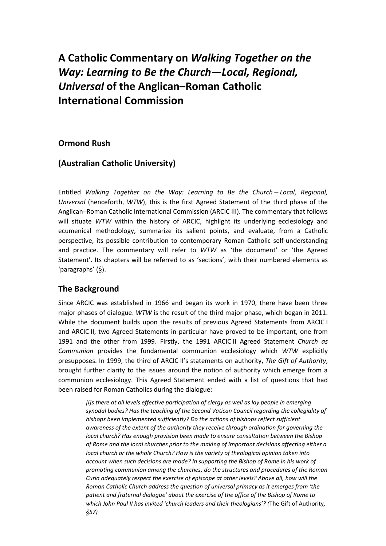# **A Catholic Commentary on** *Walking Together on the Way: Learning to Be the Church—Local, Regional, Universal* **of the Anglican–Roman Catholic International Commission**

# **Ormond Rush**

# **(Australian Catholic University)**

Entitled *Walking Together on the Way: Learning to Be the Church—Local, Regional, Universal* (henceforth, *WTW*), this is the first Agreed Statement of the third phase of the Anglican–Roman Catholic International Commission (ARCIC III). The commentary that follows will situate *WTW* within the history of ARCIC, highlight its underlying ecclesiology and ecumenical methodology, summarize its salient points, and evaluate, from a Catholic perspective, its possible contribution to contemporary Roman Catholic self-understanding and practice. The commentary will refer to *WTW* as 'the document' or 'the Agreed Statement'. Its chapters will be referred to as 'sections', with their numbered elements as 'paragraphs' (§).

# **The Background**

Since ARCIC was established in 1966 and began its work in 1970, there have been three major phases of dialogue. *WTW* is the result of the third major phase, which began in 2011. While the document builds upon the results of previous Agreed Statements from ARCIC I and ARCIC II, two Agreed Statements in particular have proved to be important, one from 1991 and the other from 1999. Firstly, the 1991 ARCIC II Agreed Statement *Church as Communion* provides the fundamental communion ecclesiology which *WTW* explicitly presupposes. In 1999, the third of ARCIC II's statements on authority, *The Gift of Authority*, brought further clarity to the issues around the notion of authority which emerge from a communion ecclesiology. This Agreed Statement ended with a list of questions that had been raised for Roman Catholics during the dialogue:

*[I]s there at all levels effective participation of clergy as well as lay people in emerging synodal bodies? Has the teaching of the Second Vatican Council regarding the collegiality of bishops been implemented sufficiently? Do the actions of bishops reflect sufficient awareness of the extent of the authority they receive through ordination for governing the local church? Has enough provision been made to ensure consultation between the Bishop of Rome and the local churches prior to the making of important decisions affecting either a local church or the whole Church? How is the variety of theological opinion taken into account when such decisions are made? In supporting the Bishop of Rome in his work of promoting communion among the churches, do the structures and procedures of the Roman Curia adequately respect the exercise of episcope at other levels? Above all, how will the Roman Catholic Church address the question of universal primacy as it emerges from 'the patient and fraternal dialogue' about the exercise of the office of the Bishop of Rome to which John Paul II has invited 'church leaders and their theologians'? (*The Gift of Authority*, §57)*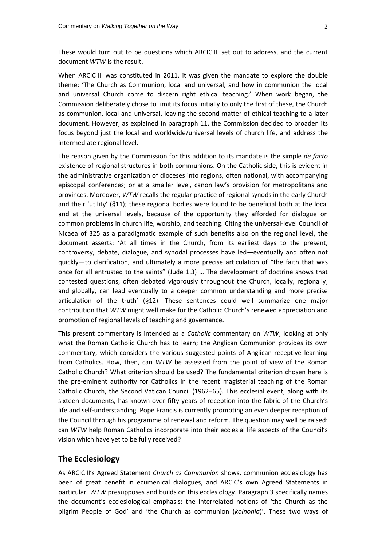These would turn out to be questions which ARCIC III set out to address, and the current document *WTW* is the result.

When ARCIC III was constituted in 2011, it was given the mandate to explore the double theme: 'The Church as Communion, local and universal, and how in communion the local and universal Church come to discern right ethical teaching.' When work began, the Commission deliberately chose to limit its focus initially to only the first of these, the Church as communion, local and universal, leaving the second matter of ethical teaching to a later document. However, as explained in paragraph 11, the Commission decided to broaden its focus beyond just the local and worldwide/universal levels of church life, and address the intermediate regional level.

The reason given by the Commission for this addition to its mandate is the simple *de facto* existence of regional structures in both communions. On the Catholic side, this is evident in the administrative organization of dioceses into regions, often national, with accompanying episcopal conferences; or at a smaller level, canon law's provision for metropolitans and provinces. Moreover, *WTW* recalls the regular practice of regional synods in the early Church and their 'utility' (§11); these regional bodies were found to be beneficial both at the local and at the universal levels, because of the opportunity they afforded for dialogue on common problems in church life, worship, and teaching. Citing the universal-level Council of Nicaea of 325 as a paradigmatic example of such benefits also on the regional level, the document asserts: 'At all times in the Church, from its earliest days to the present, controversy, debate, dialogue, and synodal processes have led—eventually and often not quickly—to clarification, and ultimately a more precise articulation of "the faith that was once for all entrusted to the saints" (Jude 1.3) … The development of doctrine shows that contested questions, often debated vigorously throughout the Church, locally, regionally, and globally, can lead eventually to a deeper common understanding and more precise articulation of the truth' (§12). These sentences could well summarize one major contribution that *WTW* might well make for the Catholic Church's renewed appreciation and promotion of regional levels of teaching and governance.

This present commentary is intended as a *Catholic* commentary on *WTW*, looking at only what the Roman Catholic Church has to learn; the Anglican Communion provides its own commentary, which considers the various suggested points of Anglican receptive learning from Catholics. How, then, can *WTW* be assessed from the point of view of the Roman Catholic Church? What criterion should be used? The fundamental criterion chosen here is the pre-eminent authority for Catholics in the recent magisterial teaching of the Roman Catholic Church, the Second Vatican Council (1962–65). This ecclesial event, along with its sixteen documents, has known over fifty years of reception into the fabric of the Church's life and self-understanding. Pope Francis is currently promoting an even deeper reception of the Council through his programme of renewal and reform. The question may well be raised: can *WTW* help Roman Catholics incorporate into their ecclesial life aspects of the Council's vision which have yet to be fully received?

## **The Ecclesiology**

As ARCIC II's Agreed Statement *Church as Communion* shows, communion ecclesiology has been of great benefit in ecumenical dialogues, and ARCIC's own Agreed Statements in particular. *WTW* presupposes and builds on this ecclesiology. Paragraph 3 specifically names the document's ecclesiological emphasis: the interrelated notions of 'the Church as the pilgrim People of God' and 'the Church as communion (*koinonia*)'. These two ways of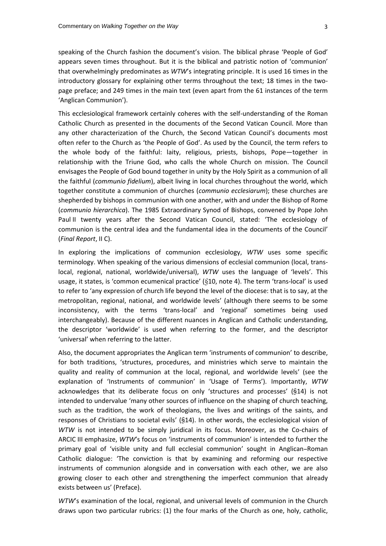speaking of the Church fashion the document's vision. The biblical phrase 'People of God' appears seven times throughout. But it is the biblical and patristic notion of 'communion' that overwhelmingly predominates as *WTW*'s integrating principle. It is used 16 times in the introductory glossary for explaining other terms throughout the text; 18 times in the twopage preface; and 249 times in the main text (even apart from the 61 instances of the term 'Anglican Communion').

This ecclesiological framework certainly coheres with the self-understanding of the Roman Catholic Church as presented in the documents of the Second Vatican Council. More than any other characterization of the Church, the Second Vatican Council's documents most often refer to the Church as 'the People of God'. As used by the Council, the term refers to the whole body of the faithful: laity, religious, priests, bishops, Pope—together in relationship with the Triune God, who calls the whole Church on mission. The Council envisages the People of God bound together in unity by the Holy Spirit as a communion of all the faithful (*communio fidelium*), albeit living in local churches throughout the world, which together constitute a communion of churches (*communio ecclesiarum*); these churches are shepherded by bishops in communion with one another, with and under the Bishop of Rome (*communio hierarchica*). The 1985 Extraordinary Synod of Bishops, convened by Pope John Paul II twenty years after the Second Vatican Council, stated: 'The ecclesiology of communion is the central idea and the fundamental idea in the documents of the Council' (*Final Report*, II C).

In exploring the implications of communion ecclesiology, *WTW* uses some specific terminology. When speaking of the various dimensions of ecclesial communion (local, translocal, regional, national, worldwide/universal), WTW uses the language of 'levels'. This usage, it states, is 'common ecumenical practice' (*§*10, note 4). The term 'trans-local' is used to refer to 'any expression of church life beyond the level of the diocese: that is to say, at the metropolitan, regional, national, and worldwide levels' (although there seems to be some inconsistency, with the terms 'trans-local' and 'regional' sometimes being used interchangeably). Because of the different nuances in Anglican and Catholic understanding, the descriptor 'worldwide' is used when referring to the former, and the descriptor 'universal' when referring to the latter.

Also, the document appropriates the Anglican term 'instruments of communion' to describe, for both traditions, 'structures, procedures, and ministries which serve to maintain the quality and reality of communion at the local, regional, and worldwide levels' (see the explanation of 'Instruments of communion' in 'Usage of Terms'). Importantly, *WTW* acknowledges that its deliberate focus on only 'structures and processes' (§14) is not intended to undervalue 'many other sources of influence on the shaping of church teaching, such as the tradition, the work of theologians, the lives and writings of the saints, and responses of Christians to societal evils' (§14). In other words, the ecclesiological vision of *WTW* is not intended to be simply juridical in its focus. Moreover, as the Co-chairs of ARCIC III emphasize, *WTW*'s focus on 'instruments of communion' is intended to further the primary goal of 'visible unity and full ecclesial communion' sought in Anglican–Roman Catholic dialogue: 'The conviction is that by examining and reforming our respective instruments of communion alongside and in conversation with each other, we are also growing closer to each other and strengthening the imperfect communion that already exists between us' (Preface).

*WTW*'s examination of the local, regional, and universal levels of communion in the Church draws upon two particular rubrics: (1) the four marks of the Church as one, holy, catholic,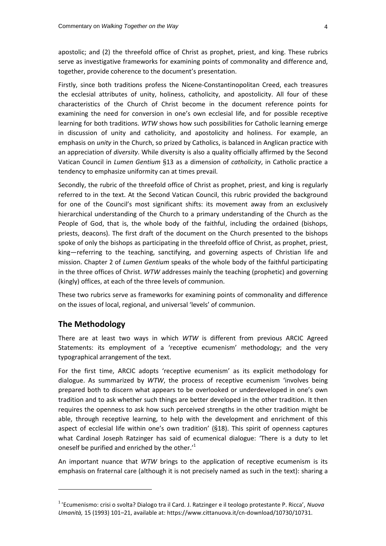apostolic; and (2) the threefold office of Christ as prophet, priest, and king. These rubrics serve as investigative frameworks for examining points of commonality and difference and, together, provide coherence to the document's presentation.

Firstly, since both traditions profess the Nicene-Constantinopolitan Creed, each treasures the ecclesial attributes of unity, holiness, catholicity, and apostolicity. All four of these characteristics of the Church of Christ become in the document reference points for examining the need for conversion in one's own ecclesial life, and for possible receptive learning for both traditions. *WTW* shows how such possibilities for Catholic learning emerge in discussion of unity and catholicity, and apostolicity and holiness. For example, an emphasis on *unity* in the Church, so prized by Catholics, is balanced in Anglican practice with an appreciation of *diversity*. While diversity is also a quality officially affirmed by the Second Vatican Council in *Lumen Gentium* §13 as a dimension of *catholicity*, in Catholic practice a tendency to emphasize uniformity can at times prevail.

Secondly, the rubric of the threefold office of Christ as prophet, priest, and king is regularly referred to in the text. At the Second Vatican Council, this rubric provided the background for one of the Council's most significant shifts: its movement away from an exclusively hierarchical understanding of the Church to a primary understanding of the Church as the People of God, that is, the whole body of the faithful, including the ordained (bishops, priests, deacons). The first draft of the document on the Church presented to the bishops spoke of only the bishops as participating in the threefold office of Christ, as prophet, priest, king—referring to the teaching, sanctifying, and governing aspects of Christian life and mission. Chapter 2 of *Lumen Gentium* speaks of the whole body of the faithful participating in the three offices of Christ. *WTW* addresses mainly the teaching (prophetic) and governing (kingly) offices, at each of the three levels of communion.

These two rubrics serve as frameworks for examining points of commonality and difference on the issues of local, regional, and universal 'levels' of communion.

## **The Methodology**

 $\overline{a}$ 

There are at least two ways in which *WTW* is different from previous ARCIC Agreed Statements: its employment of a 'receptive ecumenism' methodology; and the very typographical arrangement of the text.

For the first time, ARCIC adopts 'receptive ecumenism' as its explicit methodology for dialogue. As summarized by *WTW*, the process of receptive ecumenism 'involves being prepared both to discern what appears to be overlooked or underdeveloped in one's own tradition and to ask whether such things are better developed in the other tradition. It then requires the openness to ask how such perceived strengths in the other tradition might be able, through receptive learning, to help with the development and enrichment of this aspect of ecclesial life within one's own tradition' (§18). This spirit of openness captures what Cardinal Joseph Ratzinger has said of ecumenical dialogue: 'There is a duty to let oneself be purified and enriched by the other.<sup>1</sup>

An important nuance that *WTW* brings to the application of receptive ecumenism is its emphasis on fraternal care (although it is not precisely named as such in the text): sharing a

<sup>1</sup> 'Ecumenismo: crisi o svolta? Dialogo tra il Card. J. Ratzinger e il teologo protestante P. Ricca', *Nuova Umanità,* 15 (1993) 101–21, available at: [https://www.cittanuova.it/cn-download/10730/10731.](https://www.cittanuova.it/cn-download/10730/10731)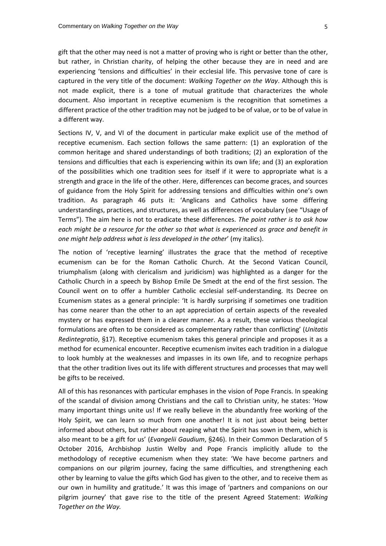gift that the other may need is not a matter of proving who is right or better than the other, but rather, in Christian charity, of helping the other because they are in need and are experiencing 'tensions and difficulties' in their ecclesial life. This pervasive tone of care is captured in the very title of the document: *Walking Together on the Way*. Although this is not made explicit, there is a tone of mutual gratitude that characterizes the whole document. Also important in receptive ecumenism is the recognition that sometimes a different practice of the other tradition may not be judged to be of value, or to be of value in a different way.

Sections IV, V, and VI of the document in particular make explicit use of the method of receptive ecumenism. Each section follows the same pattern: (1) an exploration of the common heritage and shared understandings of both traditions; (2) an exploration of the tensions and difficulties that each is experiencing within its own life; and (3) an exploration of the possibilities which one tradition sees for itself if it were to appropriate what is a strength and grace in the life of the other. Here, differences can become graces, and sources of guidance from the Holy Spirit for addressing tensions and difficulties within one's own tradition. As paragraph 46 puts it: 'Anglicans and Catholics have some differing understandings, practices, and structures, as well as differences of vocabulary (see "Usage of Terms"). The aim here is not to eradicate these differences. *The point rather is to ask how each might be a resource for the other so that what is experienced as grace and benefit in one might help address what is less developed in the other*' (my italics).

The notion of 'receptive learning' illustrates the grace that the method of receptive ecumenism can be for the Roman Catholic Church. At the Second Vatican Council, triumphalism (along with clericalism and juridicism) was highlighted as a danger for the Catholic Church in a speech by Bishop Emile De Smedt at the end of the first session. The Council went on to offer a humbler Catholic ecclesial self-understanding. Its Decree on Ecumenism states as a general principle: 'It is hardly surprising if sometimes one tradition has come nearer than the other to an apt appreciation of certain aspects of the revealed mystery or has expressed them in a clearer manner. As a result, these various theological formulations are often to be considered as complementary rather than conflicting' (*Unitatis Redintegratio*, §17). Receptive ecumenism takes this general principle and proposes it as a method for ecumenical encounter. Receptive ecumenism invites each tradition in a dialogue to look humbly at the weaknesses and impasses in its own life, and to recognize perhaps that the other tradition lives out its life with different structures and processes that may well be gifts to be received.

All of this has resonances with particular emphases in the vision of Pope Francis. In speaking of the scandal of division among Christians and the call to Christian unity, he states: 'How many important things unite us! If we really believe in the abundantly free working of the Holy Spirit, we can learn so much from one another! It is not just about being better informed about others, but rather about reaping what the Spirit has sown in them, which is also meant to be a gift for us' (*Evangelii Gaudium*, §246). In their Common Declaration of 5 October 2016, Archbishop Justin Welby and Pope Francis implicitly allude to the methodology of receptive ecumenism when they state: 'We have become partners and companions on our pilgrim journey, facing the same difficulties, and strengthening each other by learning to value the gifts which God has given to the other, and to receive them as our own in humility and gratitude.' It was this image of 'partners and companions on our pilgrim journey' that gave rise to the title of the present Agreed Statement: *Walking Together on the Way.*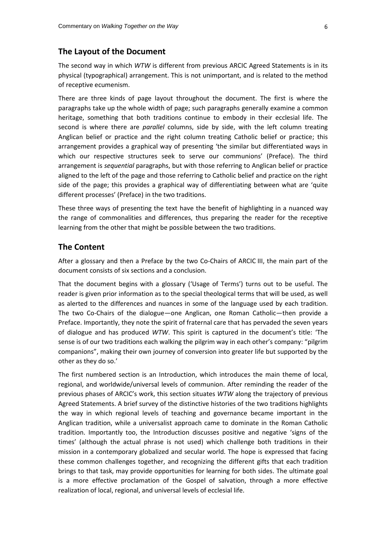## **The Layout of the Document**

The second way in which *WTW* is different from previous ARCIC Agreed Statements is in its physical (typographical) arrangement. This is not unimportant, and is related to the method of receptive ecumenism.

There are three kinds of page layout throughout the document. The first is where the paragraphs take up the whole width of page; such paragraphs generally examine a common heritage, something that both traditions continue to embody in their ecclesial life. The second is where there are *parallel* columns, side by side, with the left column treating Anglican belief or practice and the right column treating Catholic belief or practice; this arrangement provides a graphical way of presenting 'the similar but differentiated ways in which our respective structures seek to serve our communions' (Preface). The third arrangement is *sequential* paragraphs, but with those referring to Anglican belief or practice aligned to the left of the page and those referring to Catholic belief and practice on the right side of the page; this provides a graphical way of differentiating between what are 'quite different processes' (Preface) in the two traditions.

These three ways of presenting the text have the benefit of highlighting in a nuanced way the range of commonalities and differences, thus preparing the reader for the receptive learning from the other that might be possible between the two traditions.

## **The Content**

After a glossary and then a Preface by the two Co-Chairs of ARCIC III, the main part of the document consists of six sections and a conclusion.

That the document begins with a glossary ('Usage of Terms') turns out to be useful. The reader is given prior information as to the special theological terms that will be used, as well as alerted to the differences and nuances in some of the language used by each tradition. The two Co-Chairs of the dialogue—one Anglican, one Roman Catholic—then provide a Preface. Importantly, they note the spirit of fraternal care that has pervaded the seven years of dialogue and has produced *WTW*. This spirit is captured in the document's title: 'The sense is of our two traditions each walking the pilgrim way in each other's company: "pilgrim companions", making their own journey of conversion into greater life but supported by the other as they do so.'

The first numbered section is an Introduction, which introduces the main theme of local, regional, and worldwide/universal levels of communion. After reminding the reader of the previous phases of ARCIC's work, this section situates *WTW* along the trajectory of previous Agreed Statements. A brief survey of the distinctive histories of the two traditions highlights the way in which regional levels of teaching and governance became important in the Anglican tradition, while a universalist approach came to dominate in the Roman Catholic tradition. Importantly too, the Introduction discusses positive and negative 'signs of the times' (although the actual phrase is not used) which challenge both traditions in their mission in a contemporary globalized and secular world. The hope is expressed that facing these common challenges together, and recognizing the different gifts that each tradition brings to that task, may provide opportunities for learning for both sides. The ultimate goal is a more effective proclamation of the Gospel of salvation, through a more effective realization of local, regional, and universal levels of ecclesial life.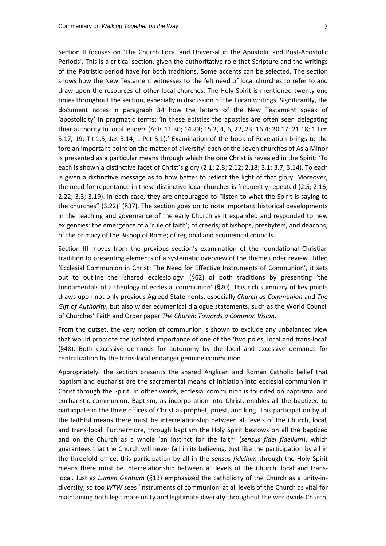Section II focuses on 'The Church Local and Universal in the Apostolic and Post-Apostolic Periods'. This is a critical section, given the authoritative role that Scripture and the writings of the Patristic period have for both traditions. Some accents can be selected. The section shows how the New Testament witnesses to the felt need of local churches to refer to and draw upon the resources of other local churches. The Holy Spirit is mentioned twenty-one times throughout the section, especially in discussion of the Lucan writings. Significantly, the document notes in paragraph 34 how the letters of the New Testament speak of 'apostolicity' in pragmatic terms: 'In these epistles the apostles are often seen delegating their authority to local leaders (Acts 11.30; 14.23; 15.2, 4, 6, 22, 23; 16.4; 20.17; 21.18; 1 Tim 5.17, 19; Tit 1.5; Jas 5.14; 1 Pet 5.1).' Examination of the book of Revelation brings to the fore an important point on the matter of diversity: each of the seven churches of Asia Minor is presented as a particular means through which the one Christ is revealed in the Spirit: 'To each is shown a distinctive facet of Christ's glory (2.1; 2.8; 2.12; 2.18; 3.1; 3.7; 3.14). To each is given a distinctive message as to how better to reflect the light of that glory. Moreover, the need for repentance in these distinctive local churches is frequently repeated (2.5; 2.16; 2.22; 3.3; 3.19). In each case, they are encouraged to "listen to what the Spirit is saying to the churches" (3.22)' (§37). The section goes on to note important historical developments in the teaching and governance of the early Church as it expanded and responded to new exigencies: the emergence of a 'rule of faith'; of creeds; of bishops, presbyters, and deacons; of the primacy of the Bishop of Rome; of regional and ecumenical councils.

Section III moves from the previous section's examination of the foundational Christian tradition to presenting elements of a systematic overview of the theme under review. Titled 'Ecclesial Communion in Christ: The Need for Effective Instruments of Communion', it sets out to outline the 'shared ecclesiology' (§62) of both traditions by presenting 'the fundamentals of a theology of ecclesial communion' (§20). This rich summary of key points draws upon not only previous Agreed Statements, especially *Church as Communion* and *The Gift of Authority*, but also wider ecumenical dialogue statements, such as the World Council of Churches' Faith and Order paper *The Church: Towards a Common Vision*.

From the outset, the very notion of communion is shown to exclude any unbalanced view that would promote the isolated importance of one of the 'two poles, local and trans-local' (§48). Both excessive demands for autonomy by the local and excessive demands for centralization by the trans-local endanger genuine communion.

Appropriately, the section presents the shared Anglican and Roman Catholic belief that baptism and eucharist are the sacramental means of initiation into ecclesial communion in Christ through the Spirit. In other words, ecclesial communion is founded on baptismal and eucharistic communion. Baptism, as incorporation into Christ, enables all the baptized to participate in the three offices of Christ as prophet, priest, and king. This participation by all the faithful means there must be interrelationship between all levels of the Church, local, and trans-local. Furthermore, through baptism the Holy Spirit bestows on all the baptized and on the Church as a whole 'an instinct for the faith' (*sensus fidei fidelium*), which guarantees that the Church will never fail in its believing. Just like the participation by all in the threefold office, this participation by all in the *sensus fidelium* through the Holy Spirit means there must be interrelationship between all levels of the Church, local and translocal. Just as *Lumen Gentium* (§13) emphasized the catholicity of the Church as a unity-indiversity, so too *WTW* sees 'instruments of communion' at all levels of the Church as vital for maintaining both legitimate unity and legitimate diversity throughout the worldwide Church,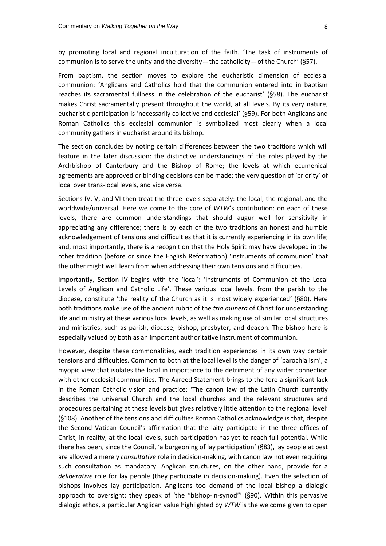by promoting local and regional inculturation of the faith. 'The task of instruments of communion is to serve the unity and the diversity—the catholicity—of the Church' (§57).

From baptism, the section moves to explore the eucharistic dimension of ecclesial communion: 'Anglicans and Catholics hold that the communion entered into in baptism reaches its sacramental fullness in the celebration of the eucharist' (§58). The eucharist makes Christ sacramentally present throughout the world, at all levels. By its very nature, eucharistic participation is 'necessarily collective and ecclesial' (§59). For both Anglicans and Roman Catholics this ecclesial communion is symbolized most clearly when a local community gathers in eucharist around its bishop.

The section concludes by noting certain differences between the two traditions which will feature in the later discussion: the distinctive understandings of the roles played by the Archbishop of Canterbury and the Bishop of Rome; the levels at which ecumenical agreements are approved or binding decisions can be made; the very question of 'priority' of local over trans-local levels, and vice versa.

Sections IV, V, and VI then treat the three levels separately: the local, the regional, and the worldwide/universal. Here we come to the core of *WTW*'s contribution: on each of these levels, there are common understandings that should augur well for sensitivity in appreciating any difference; there is by each of the two traditions an honest and humble acknowledgement of tensions and difficulties that it is currently experiencing in its own life; and, most importantly, there is a recognition that the Holy Spirit may have developed in the other tradition (before or since the English Reformation) 'instruments of communion' that the other might well learn from when addressing their own tensions and difficulties.

Importantly, Section IV begins with the 'local': 'Instruments of Communion at the Local Levels of Anglican and Catholic Life'. These various local levels, from the parish to the diocese, constitute 'the reality of the Church as it is most widely experienced' (§80). Here both traditions make use of the ancient rubric of the *tria munera* of Christ for understanding life and ministry at these various local levels, as well as making use of similar local structures and ministries, such as parish, diocese, bishop, presbyter, and deacon. The bishop here is especially valued by both as an important authoritative instrument of communion.

However, despite these commonalities, each tradition experiences in its own way certain tensions and difficulties. Common to both at the local level is the danger of 'parochialism', a myopic view that isolates the local in importance to the detriment of any wider connection with other ecclesial communities. The Agreed Statement brings to the fore a significant lack in the Roman Catholic vision and practice: 'The canon law of the Latin Church currently describes the universal Church and the local churches and the relevant structures and procedures pertaining at these levels but gives relatively little attention to the regional level' (§108). Another of the tensions and difficulties Roman Catholics acknowledge is that, despite the Second Vatican Council's affirmation that the laity participate in the three offices of Christ, in reality, at the local levels, such participation has yet to reach full potential. While there has been, since the Council, 'a burgeoning of lay participation' (§83), lay people at best are allowed a merely *consultative* role in decision-making, with canon law not even requiring such consultation as mandatory. Anglican structures, on the other hand, provide for a *deliberative* role for lay people (they participate in decision-making). Even the selection of bishops involves lay participation. Anglicans too demand of the local bishop a dialogic approach to oversight; they speak of 'the "bishop-in-synod"' (§90). Within this pervasive dialogic ethos, a particular Anglican value highlighted by *WTW* is the welcome given to open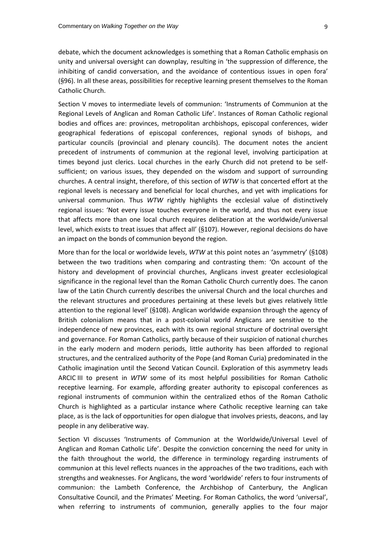debate, which the document acknowledges is something that a Roman Catholic emphasis on unity and universal oversight can downplay, resulting in 'the suppression of difference, the inhibiting of candid conversation, and the avoidance of contentious issues in open fora' (§96). In all these areas, possibilities for receptive learning present themselves to the Roman Catholic Church.

Section V moves to intermediate levels of communion: 'Instruments of Communion at the Regional Levels of Anglican and Roman Catholic Life'. Instances of Roman Catholic regional bodies and offices are: provinces, metropolitan archbishops, episcopal conferences, wider geographical federations of episcopal conferences, regional synods of bishops, and particular councils (provincial and plenary councils). The document notes the ancient precedent of instruments of communion at the regional level, involving participation at times beyond just clerics. Local churches in the early Church did not pretend to be selfsufficient; on various issues, they depended on the wisdom and support of surrounding churches. A central insight, therefore, of this section of *WTW* is that concerted effort at the regional levels is necessary and beneficial for local churches, and yet with implications for universal communion. Thus *WTW* rightly highlights the ecclesial value of distinctively regional issues: 'Not every issue touches everyone in the world, and thus not every issue that affects more than one local church requires deliberation at the worldwide/universal level, which exists to treat issues that affect all' (§107). However, regional decisions do have an impact on the bonds of communion beyond the region.

More than for the local or worldwide levels, *WTW* at this point notes an 'asymmetry' (§108) between the two traditions when comparing and contrasting them: 'On account of the history and development of provincial churches, Anglicans invest greater ecclesiological significance in the regional level than the Roman Catholic Church currently does. The canon law of the Latin Church currently describes the universal Church and the local churches and the relevant structures and procedures pertaining at these levels but gives relatively little attention to the regional level' (§108). Anglican worldwide expansion through the agency of British colonialism means that in a post-colonial world Anglicans are sensitive to the independence of new provinces, each with its own regional structure of doctrinal oversight and governance. For Roman Catholics, partly because of their suspicion of national churches in the early modern and modern periods, little authority has been afforded to regional structures, and the centralized authority of the Pope (and Roman Curia) predominated in the Catholic imagination until the Second Vatican Council. Exploration of this asymmetry leads ARCIC III to present in *WTW* some of its most helpful possibilities for Roman Catholic receptive learning. For example, affording greater authority to episcopal conferences as regional instruments of communion within the centralized ethos of the Roman Catholic Church is highlighted as a particular instance where Catholic receptive learning can take place, as is the lack of opportunities for open dialogue that involves priests, deacons, and lay people in any deliberative way.

Section VI discusses 'Instruments of Communion at the Worldwide/Universal Level of Anglican and Roman Catholic Life'. Despite the conviction concerning the need for unity in the faith throughout the world, the difference in terminology regarding instruments of communion at this level reflects nuances in the approaches of the two traditions, each with strengths and weaknesses. For Anglicans, the word 'worldwide' refers to four instruments of communion: the Lambeth Conference, the Archbishop of Canterbury, the Anglican Consultative Council, and the Primates' Meeting. For Roman Catholics, the word 'universal', when referring to instruments of communion, generally applies to the four major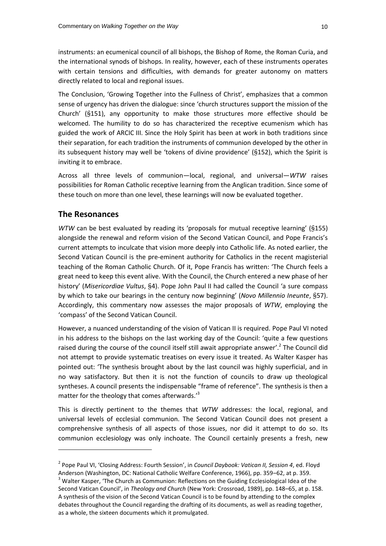instruments: an ecumenical council of all bishops, the Bishop of Rome, the Roman Curia, and the international synods of bishops. In reality, however, each of these instruments operates with certain tensions and difficulties, with demands for greater autonomy on matters directly related to local and regional issues.

The Conclusion, 'Growing Together into the Fullness of Christ', emphasizes that a common sense of urgency has driven the dialogue: since 'church structures support the mission of the Church' (§151), any opportunity to make those structures more effective should be welcomed. The humility to do so has characterized the receptive ecumenism which has guided the work of ARCIC III. Since the Holy Spirit has been at work in both traditions since their separation, for each tradition the instruments of communion developed by the other in its subsequent history may well be 'tokens of divine providence' (§152), which the Spirit is inviting it to embrace.

Across all three levels of communion—local, regional, and universal—*WTW* raises possibilities for Roman Catholic receptive learning from the Anglican tradition. Since some of these touch on more than one level, these learnings will now be evaluated together.

## **The Resonances**

 $\ddot{\phantom{a}}$ 

*WTW* can be best evaluated by reading its 'proposals for mutual receptive learning' (§155) alongside the renewal and reform vision of the Second Vatican Council, and Pope Francis's current attempts to inculcate that vision more deeply into Catholic life. As noted earlier, the Second Vatican Council is the pre-eminent authority for Catholics in the recent magisterial teaching of the Roman Catholic Church. Of it, Pope Francis has written: 'The Church feels a great need to keep this event alive. With the Council, the Church entered a new phase of her history' (*Misericordiae Vultus*, §4). Pope John Paul II had called the Council 'a sure compass by which to take our bearings in the century now beginning' (*Novo Millennio Ineunte*, §57). Accordingly, this commentary now assesses the major proposals of *WTW*, employing the 'compass' of the Second Vatican Council.

However, a nuanced understanding of the vision of Vatican II is required. Pope Paul VI noted in his address to the bishops on the last working day of the Council: 'quite a few questions raised during the course of the council itself still await appropriate answer'.<sup>2</sup> The Council did not attempt to provide systematic treatises on every issue it treated. As Walter Kasper has pointed out: 'The synthesis brought about by the last council was highly superficial, and in no way satisfactory. But then it is not the function of councils to draw up theological syntheses. A council presents the indispensable "frame of reference". The synthesis is then a matter for the theology that comes afterwards.<sup>,3</sup>

This is directly pertinent to the themes that *WTW* addresses: the local, regional, and universal levels of ecclesial communion. The Second Vatican Council does not present a comprehensive synthesis of all aspects of those issues, nor did it attempt to do so. Its communion ecclesiology was only inchoate. The Council certainly presents a fresh, new

<sup>2</sup> Pope Paul VI, 'Closing Address: Fourth Session', in *Council Daybook: Vatican II, Session 4*, ed. Floyd Anderson (Washington, DC: National Catholic Welfare Conference, 1966), pp. 359–62, at p. 359.

<sup>&</sup>lt;sup>3</sup> Walter Kasper, 'The Church as Communion: Reflections on the Guiding Ecclesiological Idea of the Second Vatican Council', in *Theology and Church* (New York: Crossroad, 1989), pp. 148–65, at p. 158. A synthesis of the vision of the Second Vatican Council is to be found by attending to the complex debates throughout the Council regarding the drafting of its documents, as well as reading together, as a whole, the sixteen documents which it promulgated.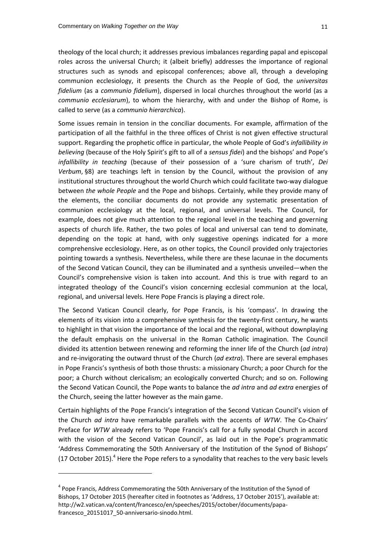theology of the local church; it addresses previous imbalances regarding papal and episcopal roles across the universal Church; it (albeit briefly) addresses the importance of regional structures such as synods and episcopal conferences; above all, through a developing communion ecclesiology, it presents the Church as the People of God, the *universitas fidelium* (as a *communio fidelium*), dispersed in local churches throughout the world (as a *communio ecclesiarum*), to whom the hierarchy, with and under the Bishop of Rome, is called to serve (as a *communio hierarchica*).

Some issues remain in tension in the conciliar documents. For example, affirmation of the participation of all the faithful in the three offices of Christ is not given effective structural support. Regarding the prophetic office in particular, the whole People of God's *infallibility in believing* (because of the Holy Spirit's gift to all of a *sensus fidei*) and the bishops' and Pope's *infallibility in teaching* (because of their possession of a 'sure charism of truth', *Dei Verbum*, §8) are teachings left in tension by the Council, without the provision of any institutional structures throughout the world Church which could facilitate two-way dialogue between *the whole People* and the Pope and bishops. Certainly, while they provide many of the elements, the conciliar documents do not provide any systematic presentation of communion ecclesiology at the local, regional, and universal levels. The Council, for example, does not give much attention to the regional level in the teaching and governing aspects of church life. Rather, the two poles of local and universal can tend to dominate, depending on the topic at hand, with only suggestive openings indicated for a more comprehensive ecclesiology. Here, as on other topics, the Council provided only trajectories pointing towards a synthesis. Nevertheless, while there are these lacunae in the documents of the Second Vatican Council, they can be illuminated and a synthesis unveiled—when the Council's comprehensive vision is taken into account. And this is true with regard to an integrated theology of the Council's vision concerning ecclesial communion at the local, regional, and universal levels. Here Pope Francis is playing a direct role.

The Second Vatican Council clearly, for Pope Francis, is his 'compass'. In drawing the elements of its vision into a comprehensive synthesis for the twenty-first century, he wants to highlight in that vision the importance of the local and the regional, without downplaying the default emphasis on the universal in the Roman Catholic imagination. The Council divided its attention between renewing and reforming the inner life of the Church (*ad intra*) and re-invigorating the outward thrust of the Church (*ad extra*). There are several emphases in Pope Francis's synthesis of both those thrusts: a missionary Church; a poor Church for the poor; a Church without clericalism; an ecologically converted Church; and so on. Following the Second Vatican Council, the Pope wants to balance the *ad intra* and *ad extra* energies of the Church, seeing the latter however as the main game.

Certain highlights of the Pope Francis's integration of the Second Vatican Council's vision of the Church *ad intra* have remarkable parallels with the accents of *WTW*. The Co-Chairs' Preface for *WTW* already refers to 'Pope Francis's call for a fully synodal Church in accord with the vision of the Second Vatican Council', as laid out in the Pope's programmatic 'Address Commemorating the 50th Anniversary of the Institution of the Synod of Bishops' (17 October 2015). $<sup>4</sup>$  Here the Pope refers to a synodality that reaches to the very basic levels</sup>

 $\overline{a}$ 

<sup>&</sup>lt;sup>4</sup> Pope Francis, Address Commemorating the 50th Anniversary of the Institution of the Synod of Bishops, 17 October 2015 (hereafter cited in footnotes as 'Address, 17 October 2015'), available at: [http://w2.vatican.va/content/francesco/en/speeches/2015/october/documents/papa](http://w2.vatican.va/content/francesco/en/speeches/2015/october/documents/papa-francesco_20151017_50-anniversario-sinodo.html)[francesco\\_20151017\\_50-anniversario-sinodo.html.](http://w2.vatican.va/content/francesco/en/speeches/2015/october/documents/papa-francesco_20151017_50-anniversario-sinodo.html)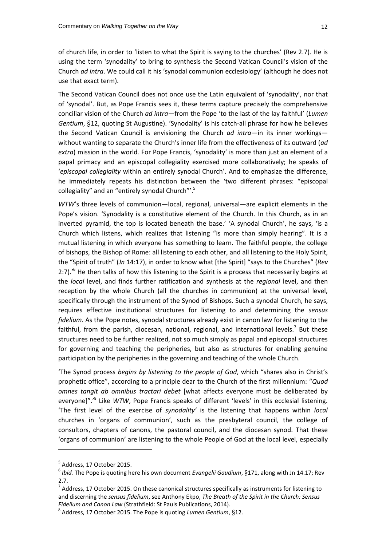of church life, in order to 'listen to what the Spirit is saying to the churches' (Rev 2.7). He is using the term 'synodality' to bring to synthesis the Second Vatican Council's vision of the Church *ad intra*. We could call it his 'synodal communion ecclesiology' (although he does not use that exact term).

The Second Vatican Council does not once use the Latin equivalent of 'synodality', nor that of 'synodal'. But, as Pope Francis sees it, these terms capture precisely the comprehensive conciliar vision of the Church *ad intra—*from the Pope 'to the last of the lay faithful' (*Lumen Gentium*, §12, quoting St Augustine). 'Synodality' is his catch-all phrase for how he believes the Second Vatican Council is envisioning the Church *ad intra—*in its inner workings without wanting to separate the Church's inner life from the effectiveness of its outward (*ad extra*) mission in the world. For Pope Francis, 'synodality' is more than just an element of a papal primacy and an episcopal collegiality exercised more collaboratively; he speaks of '*episcopal collegiality* within an entirely synodal Church'. And to emphasize the difference, he immediately repeats his distinction between the 'two different phrases: "episcopal collegiality" and an "entirely synodal Church"'.<sup>5</sup>

*WTW*'s three levels of communion—local, regional, universal—are explicit elements in the Pope's vision. 'Synodality is a constitutive element of the Church. In this Church, as in an inverted pyramid, the top is located beneath the base.' 'A synodal Church', he says, 'is a Church which listens, which realizes that listening "is more than simply hearing". It is a mutual listening in which everyone has something to learn. The faithful people, the college of bishops, the Bishop of Rome: all listening to each other, and all listening to the Holy Spirit, the "Spirit of truth" (*Jn* 14:17), in order to know what [the Spirit] "says to the Churches" (*Rev* 2:7).<sup> $6$ </sup> He then talks of how this listening to the Spirit is a process that necessarily begins at the *local* level, and finds further ratification and synthesis at the *regional* level, and then reception by the whole Church (all the churches in communion) at the universal level, specifically through the instrument of the Synod of Bishops. Such a synodal Church, he says, requires effective institutional structures for listening to and determining the *sensus fidelium.* As the Pope notes, synodal structures already exist in canon law for listening to the faithful, from the parish, diocesan, national, regional, and international levels.<sup>7</sup> But these structures need to be further realized, not so much simply as papal and episcopal structures for governing and teaching the peripheries, but also as structures for enabling genuine participation by the peripheries in the governing and teaching of the whole Church.

'The Synod process *begins by listening to the people of God*, which "shares also in Christ's prophetic office", according to a principle dear to the Church of the first millennium: "*Quod omnes tangit ab omnibus tractari debet* [what affects everyone must be deliberated by everyone]".<sup>,8</sup> Like WTW, Pope Francis speaks of different 'levels' in this ecclesial listening. 'The first level of the exercise of *synodality'* is the listening that happens within *local* churches in 'organs of communion', such as the presbyteral council, the college of consultors, chapters of canons, the pastoral council, and the diocesan synod. That these 'organs of communion' are listening to the whole People of God at the local level, especially

 $\overline{a}$ 

<sup>5</sup> Address, 17 October 2015.

<sup>6</sup> *Ibid.* The Pope is quoting here his own document *Evangelii Gaudium*, §171, along with Jn 14.17; Rev 2.7.

 $^7$  Address, 17 October 2015. On these canonical structures specifically as instruments for listening to and discerning the *sensus fidelium*, see Anthony Ekpo, *The Breath of the Spirit in the Church: Sensus Fidelium and Canon Law* (Strathfield: St Pauls Publications, 2014).

<sup>8</sup> Address, 17 October 2015. The Pope is quoting *Lumen Gentium*, §12.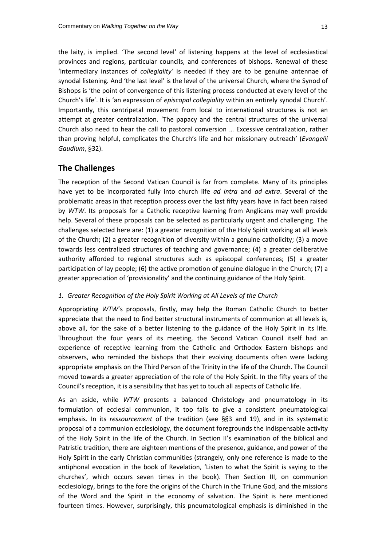the laity, is implied. 'The second level' of listening happens at the level of ecclesiastical provinces and regions, particular councils, and conferences of bishops. Renewal of these 'intermediary instances of *collegiality'* is needed if they are to be genuine antennae of synodal listening. And 'the last level' is the level of the universal Church, where the Synod of Bishops is 'the point of convergence of this listening process conducted at every level of the Church's life'. It is 'an expression of *episcopal collegiality* within an entirely synodal Church'. Importantly, this centripetal movement from local to international structures is not an attempt at greater centralization. 'The papacy and the central structures of the universal Church also need to hear the call to pastoral conversion … Excessive centralization, rather than proving helpful, complicates the Church's life and her missionary outreach' (*Evangelii Gaudium*, §32).

## **The Challenges**

The reception of the Second Vatican Council is far from complete. Many of its principles have yet to be incorporated fully into church life *ad intra* and *ad extra*. Several of the problematic areas in that reception process over the last fifty years have in fact been raised by *WTW*. Its proposals for a Catholic receptive learning from Anglicans may well provide help. Several of these proposals can be selected as particularly urgent and challenging. The challenges selected here are: (1) a greater recognition of the Holy Spirit working at all levels of the Church; (2) a greater recognition of diversity within a genuine catholicity; (3) a move towards less centralized structures of teaching and governance; (4) a greater deliberative authority afforded to regional structures such as episcopal conferences; (5) a greater participation of lay people; (6) the active promotion of genuine dialogue in the Church; (7) a greater appreciation of 'provisionality' and the continuing guidance of the Holy Spirit.

#### *1. Greater Recognition of the Holy Spirit Working at All Levels of the Church*

Appropriating *WTW*'s proposals, firstly, may help the Roman Catholic Church to better appreciate that the need to find better structural instruments of communion at all levels is, above all, for the sake of a better listening to the guidance of the Holy Spirit in its life. Throughout the four years of its meeting, the Second Vatican Council itself had an experience of receptive learning from the Catholic and Orthodox Eastern bishops and observers, who reminded the bishops that their evolving documents often were lacking appropriate emphasis on the Third Person of the Trinity in the life of the Church. The Council moved towards a greater appreciation of the role of the Holy Spirit. In the fifty years of the Council's reception, it is a sensibility that has yet to touch all aspects of Catholic life.

As an aside, while *WTW* presents a balanced Christology and pneumatology in its formulation of ecclesial communion, it too fails to give a consistent pneumatological emphasis. In its *ressourcement* of the tradition (see §§3 and 19), and in its systematic proposal of a communion ecclesiology, the document foregrounds the indispensable activity of the Holy Spirit in the life of the Church. In Section II's examination of the biblical and Patristic tradition, there are eighteen mentions of the presence, guidance, and power of the Holy Spirit in the early Christian communities (strangely, only one reference is made to the antiphonal evocation in the book of Revelation, 'Listen to what the Spirit is saying to the churches', which occurs seven times in the book). Then Section III, on communion ecclesiology, brings to the fore the origins of the Church in the Triune God, and the missions of the Word and the Spirit in the economy of salvation. The Spirit is here mentioned fourteen times. However, surprisingly, this pneumatological emphasis is diminished in the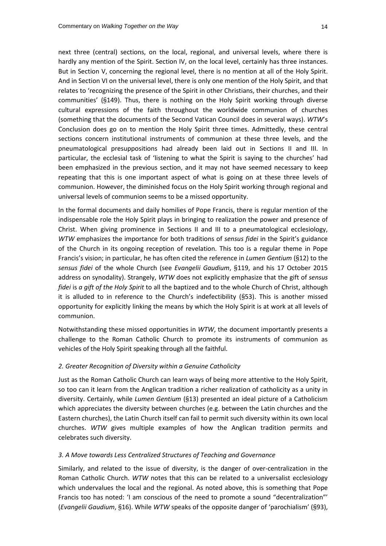next three (central) sections, on the local, regional, and universal levels, where there is hardly any mention of the Spirit. Section IV, on the local level, certainly has three instances. But in Section V, concerning the regional level, there is no mention at all of the Holy Spirit. And in Section VI on the universal level, there is only one mention of the Holy Spirit, and that relates to 'recognizing the presence of the Spirit in other Christians, their churches, and their communities' (§149). Thus, there is nothing on the Holy Spirit working through diverse cultural expressions of the faith throughout the worldwide communion of churches (something that the documents of the Second Vatican Council does in several ways). *WTW*'s Conclusion does go on to mention the Holy Spirit three times. Admittedly, these central sections concern institutional instruments of communion at these three levels, and the pneumatological presuppositions had already been laid out in Sections II and III. In particular, the ecclesial task of 'listening to what the Spirit is saying to the churches' had been emphasized in the previous section, and it may not have seemed necessary to keep repeating that this is one important aspect of what is going on at these three levels of communion. However, the diminished focus on the Holy Spirit working through regional and universal levels of communion seems to be a missed opportunity.

In the formal documents and daily homilies of Pope Francis, there is regular mention of the indispensable role the Holy Spirit plays in bringing to realization the power and presence of Christ. When giving prominence in Sections II and III to a pneumatological ecclesiology, *WTW* emphasizes the importance for both traditions of *sensus fidei* in the Spirit's guidance of the Church in its ongoing reception of revelation. This too is a regular theme in Pope Francis's vision; in particular, he has often cited the reference in *Lumen Gentium* (§12) to the *sensus fidei* of the whole Church (see *Evangelii Gaudium*, §119, and his 17 October 2015 address on synodality). Strangely, *WTW* does not explicitly emphasize that the gift of *sensus fidei* is *a gift of the Holy Spirit* to all the baptized and to the whole Church of Christ, although it is alluded to in reference to the Church's indefectibility (§53). This is another missed opportunity for explicitly linking the means by which the Holy Spirit is at work at all levels of communion.

Notwithstanding these missed opportunities in *WTW*, the document importantly presents a challenge to the Roman Catholic Church to promote its instruments of communion as vehicles of the Holy Spirit speaking through all the faithful.

### *2. Greater Recognition of Diversity within a Genuine Catholicity*

Just as the Roman Catholic Church can learn ways of being more attentive to the Holy Spirit, so too can it learn from the Anglican tradition a richer realization of catholicity as a unity in diversity. Certainly, while *Lumen Gentium* (§13) presented an ideal picture of a Catholicism which appreciates the diversity between churches (e.g. between the Latin churches and the Eastern churches), the Latin Church itself can fail to permit such diversity within its own local churches. *WTW* gives multiple examples of how the Anglican tradition permits and celebrates such diversity.

#### *3. A Move towards Less Centralized Structures of Teaching and Governance*

Similarly, and related to the issue of diversity, is the danger of over-centralization in the Roman Catholic Church. *WTW* notes that this can be related to a universalist ecclesiology which undervalues the local and the regional. As noted above, this is something that Pope Francis too has noted: 'I am conscious of the need to promote a sound "decentralization"' (*Evangelii Gaudium*, §16). While *WTW* speaks of the opposite danger of 'parochialism' (§93),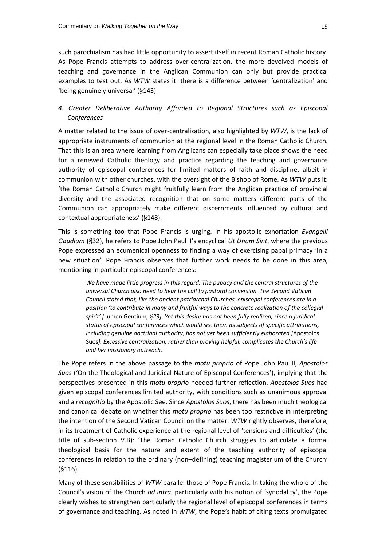such parochialism has had little opportunity to assert itself in recent Roman Catholic history. As Pope Francis attempts to address over-centralization, the more devolved models of teaching and governance in the Anglican Communion can only but provide practical examples to test out. As *WTW* states it: there is a difference between 'centralization' and 'being genuinely universal' (§143).

## *4. Greater Deliberative Authority Afforded to Regional Structures such as Episcopal Conferences*

A matter related to the issue of over-centralization, also highlighted by *WTW*, is the lack of appropriate instruments of communion at the regional level in the Roman Catholic Church. That this is an area where learning from Anglicans can especially take place shows the need for a renewed Catholic theology and practice regarding the teaching and governance authority of episcopal conferences for limited matters of faith and discipline, albeit in communion with other churches, with the oversight of the Bishop of Rome. As *WTW* puts it: 'the Roman Catholic Church might fruitfully learn from the Anglican practice of provincial diversity and the associated recognition that on some matters different parts of the Communion can appropriately make different discernments influenced by cultural and contextual appropriateness' (§148).

This is something too that Pope Francis is urging. In his apostolic exhortation *Evangelii Gaudium* (§32), he refers to Pope John Paul II's encyclical *Ut Unum Sint*, where the previous Pope expressed an ecumenical openness to finding a way of exercising papal primacy 'in a new situation'. Pope Francis observes that further work needs to be done in this area, mentioning in particular episcopal conferences:

*We have made little progress in this regard. The papacy and the central structures of the universal Church also need to hear the call to pastoral conversion. The [Second Vatican](http://www.vatican.va/archive/hist_councils/ii_vatican_council/)  [Council](http://www.vatican.va/archive/hist_councils/ii_vatican_council/) stated that, like the ancient patriarchal Churches, episcopal conferences are in a position 'to contribute in many and fruitful ways to the concrete realization of the collegial spirit' [*Lumen Gentium*, §23]. Yet this desire has not been fully realized, since a juridical status of episcopal conferences which would see them as subjects of specific attributions, including genuine doctrinal authority, has not yet been sufficiently elaborated [*Apostolos Suos*]. Excessive centralization, rather than proving helpful, complicates the Church's life and her missionary outreach.*

The Pope refers in the above passage to the *motu proprio* of Pope John Paul II, *Apostolos Suos* ('On the Theological and Juridical Nature of Episcopal Conferences'), implying that the perspectives presented in this *motu proprio* needed further reflection. *Apostolos Suos* had given episcopal conferences limited authority, with conditions such as unanimous approval and a *recognitio* by the Apostolic See. Since *Apostolos Suos*, there has been much theological and canonical debate on whether this *motu proprio* has been too restrictive in interpreting the intention of the Second Vatican Council on the matter. *WTW* rightly observes, therefore, in its treatment of Catholic experience at the regional level of 'tensions and difficulties' (the title of sub-section V.B): 'The Roman Catholic Church struggles to articulate a formal theological basis for the nature and extent of the teaching authority of episcopal conferences in relation to the ordinary (non–defining) teaching magisterium of the Church' (§116).

Many of these sensibilities of *WTW* parallel those of Pope Francis. In taking the whole of the Council's vision of the Church *ad intra*, particularly with his notion of 'synodality', the Pope clearly wishes to strengthen particularly the regional level of episcopal conferences in terms of governance and teaching. As noted in *WTW*, the Pope's habit of citing texts promulgated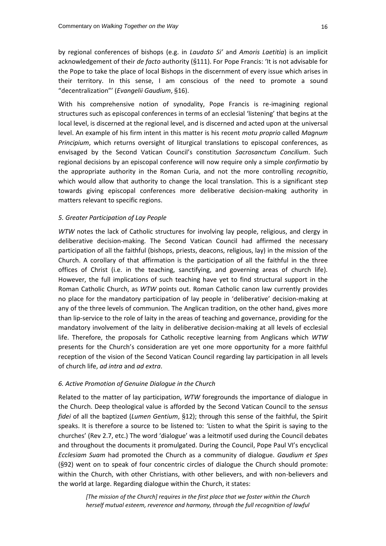by regional conferences of bishops (e.g. in *Laudato Si'* and *Amoris Laetitia*) is an implicit acknowledgement of their *de facto* authority (§111). For Pope Francis: 'It is not advisable for the Pope to take the place of local Bishops in the discernment of every issue which arises in their territory. In this sense, I am conscious of the need to promote a sound "decentralization"' (*Evangelii Gaudium*, §16).

With his comprehensive notion of synodality, Pope Francis is re-imagining regional structures such as episcopal conferences in terms of an ecclesial 'listening' that begins at the local level, is discerned at the regional level, and is discerned and acted upon at the universal level. An example of his firm intent in this matter is his recent *motu proprio* called *Magnum Principium*, which returns oversight of liturgical translations to episcopal conferences, as envisaged by the Second Vatican Council's constitution *Sacrosanctum Concilium*. Such regional decisions by an episcopal conference will now require only a simple *confirmatio* by the appropriate authority in the Roman Curia, and not the more controlling *recognitio*, which would allow that authority to change the local translation. This is a significant step towards giving episcopal conferences more deliberative decision-making authority in matters relevant to specific regions.

#### *5. Greater Participation of Lay People*

*WTW* notes the lack of Catholic structures for involving lay people, religious, and clergy in deliberative decision-making. The Second Vatican Council had affirmed the necessary participation of all the faithful (bishops, priests, deacons, religious, lay) in the mission of the Church. A corollary of that affirmation is the participation of all the faithful in the three offices of Christ (i.e. in the teaching, sanctifying, and governing areas of church life). However, the full implications of such teaching have yet to find structural support in the Roman Catholic Church, as *WTW* points out. Roman Catholic canon law currently provides no place for the mandatory participation of lay people in 'deliberative' decision-making at any of the three levels of communion. The Anglican tradition, on the other hand, gives more than lip-service to the role of laity in the areas of teaching and governance, providing for the mandatory involvement of the laity in deliberative decision-making at all levels of ecclesial life. Therefore, the proposals for Catholic receptive learning from Anglicans which *WTW* presents for the Church's consideration are yet one more opportunity for a more faithful reception of the vision of the Second Vatican Council regarding lay participation in all levels of church life, *ad intra* and *ad extra*.

#### *6. Active Promotion of Genuine Dialogue in the Church*

Related to the matter of lay participation, *WTW* foregrounds the importance of dialogue in the Church. Deep theological value is afforded by the Second Vatican Council to the *sensus fidei* of all the baptized (*Lumen Gentium*, §12); through this sense of the faithful, the Spirit speaks. It is therefore a source to be listened to: 'Listen to what the Spirit is saying to the churches' (Rev 2.7, etc.) The word 'dialogue' was a leitmotif used during the Council debates and throughout the documents it promulgated. During the Council, Pope Paul VI's encyclical *Ecclesiam Suam* had promoted the Church as a community of dialogue. *Gaudium et Spes* (§92) went on to speak of four concentric circles of dialogue the Church should promote: within the Church, with other Christians, with other believers, and with non-believers and the world at large. Regarding dialogue within the Church, it states:

*[The mission of the Church] requires in the first place that we foster within the Church herself mutual esteem, reverence and harmony, through the full recognition of lawful*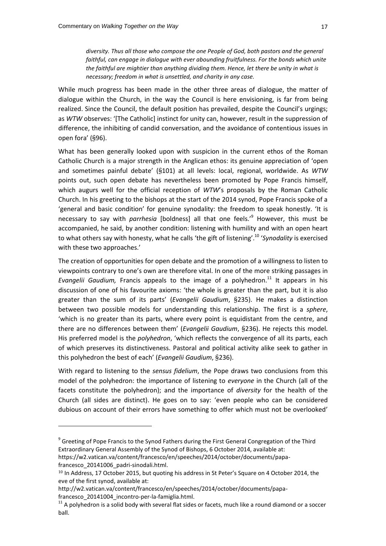*diversity. Thus all those who compose the one People of God, both pastors and the general*  faithful, can engage in dialogue with ever abounding fruitfulness. For the bonds which unite *the faithful are mightier than anything dividing them. Hence, let there be unity in what is necessary; freedom in what is unsettled, and charity in any case.*

While much progress has been made in the other three areas of dialogue, the matter of dialogue within the Church, in the way the Council is here envisioning, is far from being realized. Since the Council, the default position has prevailed, despite the Council's urgings; as *WTW* observes: '[The Catholic] instinct for unity can, however, result in the suppression of difference, the inhibiting of candid conversation, and the avoidance of contentious issues in open fora' (§96).

What has been generally looked upon with suspicion in the current ethos of the Roman Catholic Church is a major strength in the Anglican ethos: its genuine appreciation of 'open and sometimes painful debate' (§101) at all levels: local, regional, worldwide. As *WTW* points out, such open debate has nevertheless been promoted by Pope Francis himself, which augurs well for the official reception of *WTW*'s proposals by the Roman Catholic Church. In his greeting to the bishops at the start of the 2014 synod, Pope Francis spoke of a 'general and basic condition' for genuine synodality: the freedom to speak honestly. 'It is necessary to say with *parrhesia* [boldness] all that one feels.'<sup>9</sup> However, this must be accompanied, he said, by another condition: listening with humility and with an open heart to what others say with honesty, what he calls 'the gift of listening'. <sup>10</sup> '*Synodality* is exercised with these two approaches.'

The creation of opportunities for open debate and the promotion of a willingness to listen to viewpoints contrary to one's own are therefore vital. In one of the more striking passages in *Evangelii Gaudium,* Francis appeals to the image of a polyhedron.<sup>11</sup> It appears in his discussion of one of his favourite axioms: 'the whole is greater than the part, but it is also greater than the sum of its parts' (*Evangelii Gaudium*, §235). He makes a distinction between two possible models for understanding this relationship. The first is a *sphere*, 'which is no greater than its parts, where every point is equidistant from the centre, and there are no differences between them' (*Evangelii Gaudium*, §236). He rejects this model. His preferred model is the *polyhedron*, 'which reflects the convergence of all its parts, each of which preserves its distinctiveness. Pastoral and political activity alike seek to gather in this polyhedron the best of each' (*Evangelii Gaudium*, §236).

With regard to listening to the *sensus fidelium*, the Pope draws two conclusions from this model of the polyhedron: the importance of listening to *everyone* in the Church (all of the facets constitute the polyhedron); and the importance of *diversity* for the health of the Church (all sides are distinct). He goes on to say: 'even people who can be considered dubious on account of their errors have something to offer which must not be overlooked'

1

 $9$  Greeting of Pope Francis to the Synod Fathers during the First General Congregation of the Third Extraordinary General Assembly of the Synod of Bishops, 6 October 2014, available at:

[https://w2.vatican.va/content/francesco/en/speeches/2014/october/documents/papa](https://w2.vatican.va/content/francesco/en/speeches/2014/october/documents/papa-francesco_20141006_padri-sinodali.html)[francesco\\_20141006\\_padri-sinodali.html.](https://w2.vatican.va/content/francesco/en/speeches/2014/october/documents/papa-francesco_20141006_padri-sinodali.html)

<sup>&</sup>lt;sup>10</sup> In Address, 17 October 2015, but quoting his address in St Peter's Square on 4 October 2014, the eve of the first synod, available at:

[http://w2.vatican.va/content/francesco/en/speeches/2014/october/documents/papa](http://w2.vatican.va/content/francesco/en/speeches/2014/october/documents/papa-francesco_20141004_incontro-per-la-famiglia.html)francesco 20141004 incontro-per-la-famiglia.html.

 $11$  A polyhedron is a solid body with several flat sides or facets, much like a round diamond or a soccer ball.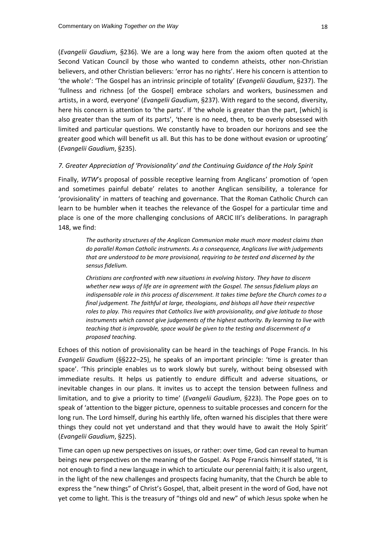(*Evangelii Gaudium*, §236). We are a long way here from the axiom often quoted at the Second Vatican Council by those who wanted to condemn atheists, other non-Christian believers, and other Christian believers: 'error has no rights'. Here his concern is attention to 'the whole': 'The Gospel has an intrinsic principle of totality' (*Evangelii Gaudium*, §237). The 'fullness and richness [of the Gospel] embrace scholars and workers, businessmen and artists, in a word, everyone' (*Evangelii Gaudium*, §237). With regard to the second, diversity, here his concern is attention to 'the parts'. If 'the whole is greater than the part, [which] is also greater than the sum of its parts', 'there is no need, then, to be overly obsessed with limited and particular questions. We constantly have to broaden our horizons and see the greater good which will benefit us all. But this has to be done without evasion or uprooting' (*Evangelii Gaudium*, §235).

#### *7. Greater Appreciation of 'Provisionality' and the Continuing Guidance of the Holy Spirit*

Finally, *WTW*'s proposal of possible receptive learning from Anglicans' promotion of 'open and sometimes painful debate' relates to another Anglican sensibility, a tolerance for 'provisionality' in matters of teaching and governance. That the Roman Catholic Church can learn to be humbler when it teaches the relevance of the Gospel for a particular time and place is one of the more challenging conclusions of ARCIC III's deliberations. In paragraph 148, we find:

> *The authority structures of the Anglican Communion make much more modest claims than do parallel Roman Catholic instruments. As a consequence, Anglicans live with judgements that are understood to be more provisional, requiring to be tested and discerned by the sensus fidelium.*

*Christians are confronted with new situations in evolving history. They have to discern whether new ways of life are in agreement with the Gospel. The sensus fidelium plays an indispensable role in this process of discernment. It takes time before the Church comes to a final judgement. The faithful at large, theologians, and bishops all have their respective roles to play. This requires that Catholics live with provisionality, and give latitude to those instruments which cannot give judgements of the highest authority. By learning to live with teaching that is improvable, space would be given to the testing and discernment of a proposed teaching.*

Echoes of this notion of provisionality can be heard in the teachings of Pope Francis. In his *Evangelii Gaudium* (§§222–25), he speaks of an important principle: 'time is greater than space'. 'This principle enables us to work slowly but surely, without being obsessed with immediate results. It helps us patiently to endure difficult and adverse situations, or inevitable changes in our plans. It invites us to accept the tension between fullness and limitation, and to give a priority to time' (*Evangelii Gaudium*, §223). The Pope goes on to speak of 'attention to the bigger picture, openness to suitable processes and concern for the long run. The Lord himself, during his earthly life, often warned his disciples that there were things they could not yet understand and that they would have to await the Holy Spirit' (*Evangelii Gaudium*, §225).

Time can open up new perspectives on issues, or rather: over time, God can reveal to human beings new perspectives on the meaning of the Gospel. As Pope Francis himself stated, 'It is not enough to find a new language in which to articulate our perennial faith; it is also urgent, in the light of the new challenges and prospects facing humanity, that the Church be able to express the "new things" of Christ's Gospel, that, albeit present in the word of God, have not yet come to light. This is the treasury of "things old and new" of which Jesus spoke when he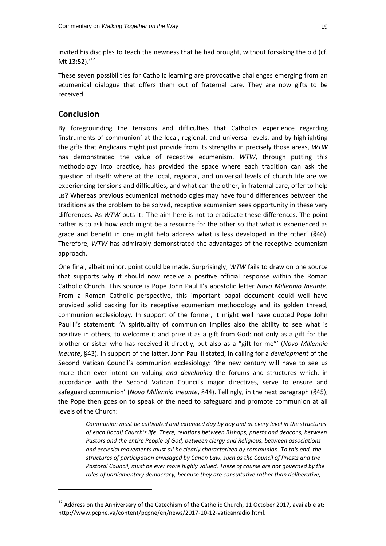invited his disciples to teach the newness that he had brought, without forsaking the old (cf. Mt 13:52).<sup>12</sup>

These seven possibilities for Catholic learning are provocative challenges emerging from an ecumenical dialogue that offers them out of fraternal care. They are now gifts to be received.

# **Conclusion**

 $\overline{a}$ 

By foregrounding the tensions and difficulties that Catholics experience regarding 'instruments of communion' at the local, regional, and universal levels, and by highlighting the gifts that Anglicans might just provide from its strengths in precisely those areas, *WTW* has demonstrated the value of receptive ecumenism. *WTW*, through putting this methodology into practice, has provided the space where each tradition can ask the question of itself: where at the local, regional, and universal levels of church life are we experiencing tensions and difficulties, and what can the other, in fraternal care, offer to help us? Whereas previous ecumenical methodologies may have found differences between the traditions as the problem to be solved, receptive ecumenism sees opportunity in these very differences. As *WTW* puts it: 'The aim here is not to eradicate these differences. The point rather is to ask how each might be a resource for the other so that what is experienced as grace and benefit in one might help address what is less developed in the other' (§46). Therefore, *WTW* has admirably demonstrated the advantages of the receptive ecumenism approach.

One final, albeit minor, point could be made. Surprisingly, *WTW* fails to draw on one source that supports why it should now receive a positive official response within the Roman Catholic Church. This source is Pope John Paul II's apostolic letter *Novo Millennio Ineunte.*  From a Roman Catholic perspective, this important papal document could well have provided solid backing for its receptive ecumenism methodology and its golden thread, communion ecclesiology. In support of the former, it might well have quoted Pope John Paul II's statement: 'A spirituality of communion implies also the ability to see what is positive in others, to welcome it and prize it as a gift from God: not only as a gift for the brother or sister who has received it directly, but also as a "gift for me"' (*Novo Millennio Ineunte*, §43). In support of the latter, John Paul II stated, in calling for a *development* of the Second Vatican Council's communion ecclesiology: 'the new century will have to see us more than ever intent on valuing *and developing* the forums and structures which, in accordance with the Second Vatican Council's major directives, serve to ensure and safeguard communion' (*Novo Millennio Ineunte*, §44). Tellingly, in the next paragraph (§45), the Pope then goes on to speak of the need to safeguard and promote communion at all levels of the Church:

> *Communion must be cultivated and extended day by day and at every level in the structures of each [local] Church's life. There, relations between Bishops, priests and deacons, between Pastors and the entire People of God, between clergy and Religious, between associations and ecclesial movements must all be clearly characterized by communion. To this end, the structures of participation envisaged by Canon Law, such as the Council of Priests and the Pastoral Council, must be ever more highly valued. These of course are not governed by the rules of parliamentary democracy, because they are consultative rather than deliberative;*

<sup>&</sup>lt;sup>12</sup> Address on the Anniversary of the Catechism of the Catholic Church, 11 October 2017, available at: [http://www.pcpne.va/content/pcpne/en/news/2017-10-12-vaticanradio.html.](http://www.pcpne.va/content/pcpne/en/news/2017-10-12-vaticanradio.html)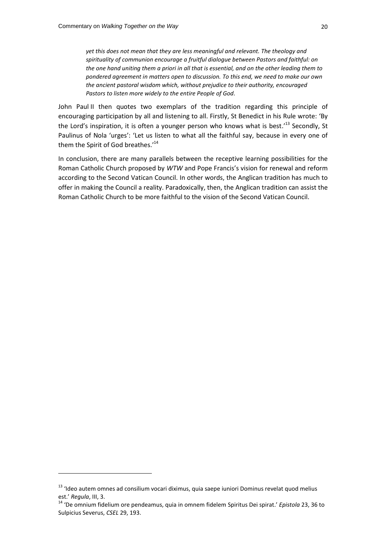*yet this does not mean that they are less meaningful and relevant. The theology and spirituality of communion encourage a fruitful dialogue between Pastors and faithful: on the one hand uniting them a priori in all that is essential, and on the other leading them to pondered agreement in matters open to discussion. To this end, we need to make our own the ancient pastoral wisdom which, without prejudice to their authority, encouraged Pastors to listen more widely to the entire People of God.*

John Paul II then quotes two exemplars of the tradition regarding this principle of encouraging participation by all and listening to all. Firstly, St Benedict in his Rule wrote: 'By the Lord's inspiration, it is often a younger person who knows what is best.'<sup>13</sup> Secondly, St Paulinus of Nola 'urges': 'Let us listen to what all the faithful say, because in every one of them the Spirit of God breathes.'<sup>14</sup>

In conclusion, there are many parallels between the receptive learning possibilities for the Roman Catholic Church proposed by *WTW* and Pope Francis's vision for renewal and reform according to the Second Vatican Council. In other words, the Anglican tradition has much to offer in making the Council a reality. Paradoxically, then, the Anglican tradition can assist the Roman Catholic Church to be more faithful to the vision of the Second Vatican Council.

 $\overline{a}$ 

<sup>&</sup>lt;sup>13</sup> 'Ideo autem omnes ad consilium vocari diximus, quia saepe iuniori Dominus revelat quod melius est.' *Regula*, III, 3.

<sup>14</sup> 'De omnium fidelium ore pendeamus, quia in omnem fidelem Spiritus Dei spirat.' *Epistola* 23, 36 to Sulpicius Severus, *CSEL* 29, 193.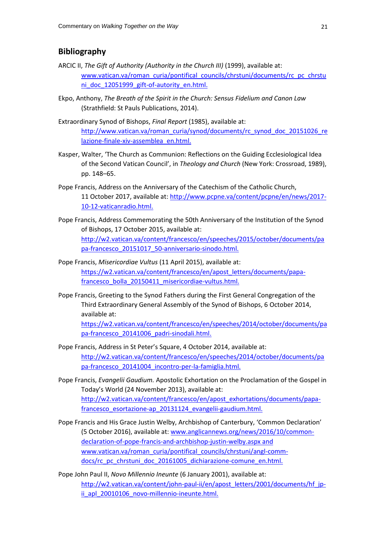# **Bibliography**

- ARCIC II, *The Gift of Authority (Authority in the Church III)* (1999), available at: [www.vatican.va/roman\\_curia/pontifical\\_councils/chrstuni/documents/rc\\_pc\\_chrstu](http://www.vatican.va/roman_curia/pontifical_councils/chrstuni/documents/rc_pc_chrstuni_doc_12051999_gift-of-autority_en.html) [ni\\_doc\\_12051999\\_gift-of-autority\\_en.html.](http://www.vatican.va/roman_curia/pontifical_councils/chrstuni/documents/rc_pc_chrstuni_doc_12051999_gift-of-autority_en.html)
- Ekpo, Anthony, *The Breath of the Spirit in the Church: Sensus Fidelium and Canon Law*  (Strathfield: St Pauls Publications, 2014).
- Extraordinary Synod of Bishops, *Final Report* (1985), available at: [http://www.vatican.va/roman\\_curia/synod/documents/rc\\_synod\\_doc\\_20151026\\_re](http://www.vatican.va/roman_curia/synod/documents/rc_synod_doc_20151026_relazione-finale-xiv-assemblea_en.html.) [lazione-finale-xiv-assemblea\\_en.html.](http://www.vatican.va/roman_curia/synod/documents/rc_synod_doc_20151026_relazione-finale-xiv-assemblea_en.html.)
- Kasper, Walter, 'The Church as Communion: Reflections on the Guiding Ecclesiological Idea of the Second Vatican Council', in *Theology and Church* (New York: Crossroad, 1989), pp. 148–65.
- Pope Francis, Address on the Anniversary of the Catechism of the Catholic Church, 11 October 2017, available at: [http://www.pcpne.va/content/pcpne/en/news/2017-](http://www.pcpne.va/content/pcpne/en/news/2017-10-12-vaticanradio.html) [10-12-vaticanradio.html.](http://www.pcpne.va/content/pcpne/en/news/2017-10-12-vaticanradio.html)
- Pope Francis, Address Commemorating the 50th Anniversary of the Institution of the Synod of Bishops, 17 October 2015, available at: [http://w2.vatican.va/content/francesco/en/speeches/2015/october/documents/pa](http://w2.vatican.va/content/francesco/en/speeches/2015/october/documents/papa-francesco_20151017_50-anniversario-sinodo.html) [pa-francesco\\_20151017\\_50-anniversario-sinodo.html.](http://w2.vatican.va/content/francesco/en/speeches/2015/october/documents/papa-francesco_20151017_50-anniversario-sinodo.html)
- Pope Francis, *Misericordiae Vultus* (11 April 2015), available at: [https://w2.vatican.va/content/francesco/en/apost\\_letters/documents/papa](https://w2.vatican.va/content/francesco/en/apost_letters/documents/papa-francesco_bolla_20150411_misericordiae-vultus.html)[francesco\\_bolla\\_20150411\\_misericordiae-vultus.html.](https://w2.vatican.va/content/francesco/en/apost_letters/documents/papa-francesco_bolla_20150411_misericordiae-vultus.html)
- Pope Francis, Greeting to the Synod Fathers during the First General Congregation of the Third Extraordinary General Assembly of the Synod of Bishops, 6 October 2014, available at:

[https://w2.vatican.va/content/francesco/en/speeches/2014/october/documents/pa](https://w2.vatican.va/content/francesco/en/speeches/2014/october/documents/papa-francesco_20141006_padri-sinodali.html) [pa-francesco\\_20141006\\_padri-sinodali.html.](https://w2.vatican.va/content/francesco/en/speeches/2014/october/documents/papa-francesco_20141006_padri-sinodali.html)

- Pope Francis, Address in St Peter's Square, 4 October 2014, available at: [http://w2.vatican.va/content/francesco/en/speeches/2014/october/documents/pa](http://w2.vatican.va/content/francesco/en/speeches/2014/october/documents/papa-francesco_20141004_incontro-per-la-famiglia.html) pa-francesco 20141004 incontro-per-la-famiglia.html.
- Pope Francis, *Evangelii Gaudium.* Apostolic Exhortation on the Proclamation of the Gospel in Today's World (24 November 2013), available at: [http://w2.vatican.va/content/francesco/en/apost\\_exhortations/documents/papa](http://w2.vatican.va/content/francesco/en/apost_exhortations/documents/papa-francesco_esortazione-ap_20131124_evangelii-gaudium.html.)francesco esortazione-ap 20131124 evangelii-gaudium.html.
- Pope Francis and His Grace Justin Welby, Archbishop of Canterbury, 'Common Declaration' (5 October 2016), available at: [www.anglicannews.org/news/2016/10/common](www.anglicannews.org/news/2016/10/common-declaration-of-pope-francis-and-archbishop-justin-welby.aspx%20and%20www.vatican.va/roman_curia/pontifical_councils/chrstuni/angl-comm-docs/rc_pc_chrstuni_doc_20161005_dichiarazione-comune_en.html.)[declaration-of-pope-francis-and-archbishop-justin-welby.aspx and](www.anglicannews.org/news/2016/10/common-declaration-of-pope-francis-and-archbishop-justin-welby.aspx%20and%20www.vatican.va/roman_curia/pontifical_councils/chrstuni/angl-comm-docs/rc_pc_chrstuni_doc_20161005_dichiarazione-comune_en.html.)  [www.vatican.va/roman\\_curia/pontifical\\_councils/chrstuni/angl-comm](www.anglicannews.org/news/2016/10/common-declaration-of-pope-francis-and-archbishop-justin-welby.aspx%20and%20www.vatican.va/roman_curia/pontifical_councils/chrstuni/angl-comm-docs/rc_pc_chrstuni_doc_20161005_dichiarazione-comune_en.html.)[docs/rc\\_pc\\_chrstuni\\_doc\\_20161005\\_dichiarazione-comune\\_en.html.](www.anglicannews.org/news/2016/10/common-declaration-of-pope-francis-and-archbishop-justin-welby.aspx%20and%20www.vatican.va/roman_curia/pontifical_councils/chrstuni/angl-comm-docs/rc_pc_chrstuni_doc_20161005_dichiarazione-comune_en.html.)

Pope John Paul II, *Novo Millennio Ineunte* (6 January 2001), available at: [http://w2.vatican.va/content/john-paul-ii/en/apost\\_letters/2001/documents/hf\\_jp](http://w2.vatican.va/content/john-paul-ii/en/apost_letters/2001/documents/hf_jp-ii_apl_20010106_novo-millennio-ineunte.html)ii apl 20010106 novo-millennio-ineunte.html.